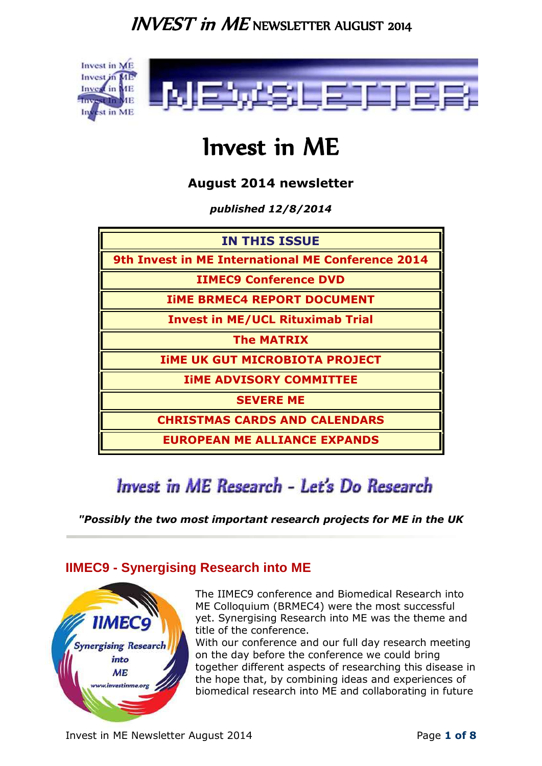

# Invest in ME

**August 2014 newsletter**

*published 12/8/2014*

| <b>IN THIS ISSUE</b>                              |
|---------------------------------------------------|
| 9th Invest in ME International ME Conference 2014 |
| <b>IIMEC9 Conference DVD</b>                      |
| <b>IIME BRMEC4 REPORT DOCUMENT</b>                |
| <b>Invest in ME/UCL Rituximab Trial</b>           |
| <b>The MATRIX</b>                                 |
| <b>IIME UK GUT MICROBIOTA PROJECT</b>             |
| <b>IIME ADVISORY COMMITTEE</b>                    |
| <b>SEVERE ME</b>                                  |
| <b>CHRISTMAS CARDS AND CALENDARS</b>              |
| <b>EUROPEAN ME ALLIANCE EXPANDS</b>               |

# Invest in ME Research - Let's Do Research

*"Possibly the two most important research projects for ME in the UK*

### <span id="page-0-0"></span>**IIMEC9 - Synergising Research into ME**



The IIMEC9 conference and Biomedical Research into ME Colloquium (BRMEC4) were the most successful yet. Synergising Research into ME was the theme and title of the conference.

With our conference and our full day research meeting [o](http://www.investinme.eu/report.html)n the day before the conference we could bring together different aspects of researching this disease in the hope that, by combining ideas and experiences of biomedical research into ME and collaborating in future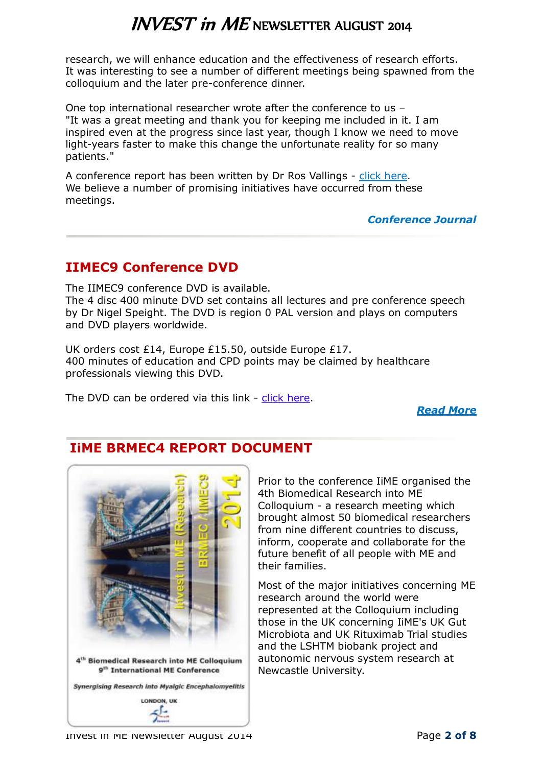research, we will enhance education and the effectiveness of research efforts. It was interesting to see a number of different meetings being spawned from the colloquium and the later pre-conference dinner.

One top international researcher wrote after the conference to us – "It was a great meeting and thank you for keeping me included in it. I am inspired even at the progress since last year, though I know we need to move light-years faster to make this change the unfortunate reality for so many patients."

A conference report has been written by Dr Ros Vallings - [click here.](http://www.investinme.eu/report.html) We believe a number of promising initiatives have occurred from these meetings.

*[Conference Journal](http://www.investinme.org/InfoCentre%20-%20Journal%20of%20IiME.htm)*

### <span id="page-1-0"></span>**IIMEC9 Conference DVD**

The IIMEC9 conference DVD is available. The 4 disc 400 minute DVD set contains all lectures and pre conference speech by Dr Nigel Speight. The DVD is region 0 PAL version and plays on computers and DVD players worldwide.

UK orders cost £14, Europe £15.50, outside Europe £17. 400 minutes of education and CPD points may be claimed by healthcare professionals viewing this DVD.

The DVD can be ordered via this link - [click here.](http://www.investinme.eu/2014%20Conference%20DVD%20Order.html)

*[Read More](http://www.investinme.eu/index.html)*



### <span id="page-1-1"></span>**IiME BRMEC4 REPORT DOCUMENT**

Prior to the conference IiME organised the 4th Biomedical Research into ME Colloquium - a research meeting which brought almost 50 biomedical researchers from nine different countries to discuss, inform, cooperate and collaborate for the future benefit of all people with ME and their families.

Most of the major initiatives concerning ME research around the world were represented at the Colloquium including those in the UK concerning IiME's UK Gut Microbiota and UK Rituximab Trial studies and the LSHTM biobank project and autonomic nervous system research at Newcastle University.

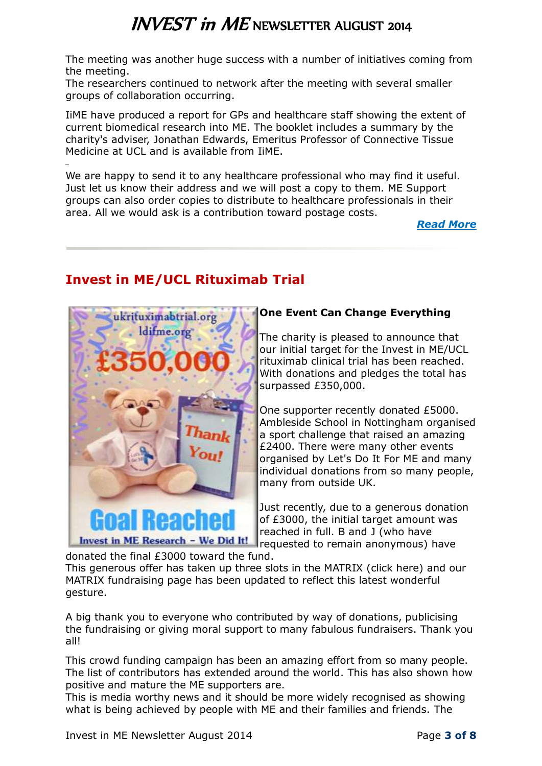The meeting was another huge success with a number of initiatives coming from the meeting.

The researchers continued to network after the meeting with several smaller groups of collaboration occurring.

IiME have produced a report for GPs and healthcare staff showing the extent of current biomedical research into ME. The booklet includes a summary by the charity's adviser, Jonathan Edwards, Emeritus Professor of Connective Tissue Medicine at UCL and is available from IiME.

We are happy to send it to any healthcare professional who may find it useful. Just let us know their address and we will post a copy to them. ME Support groups can also order copies to distribute to healthcare professionals in their area. All we would ask is a contribution toward postage costs.

*[Read More](http://www.investinme.eu/report.html)*

## <span id="page-2-0"></span>**Invest in ME/UCL Rituximab Trial**



#### **One Event Can Change Everything**

The charity is pleased to announce that our initial target for the Invest in ME/UCL rituximab clinical trial has been reached. With donations and pledges the total has surpassed £350,000.

One supporter recently donated £5000. Ambleside School in Nottingham organised a sport challenge that raised an amazing £2400. There were many other events organised by Let's Do It For ME and many individual donations from so many people, many from outside UK.

Just recently, due to a generous donation of £3000, the initial target amount was reached in full. B and J (who have requested to remain anonymous) have

donated the final £3000 toward the fund. This generous offer has taken up three slots in the MATRIX (click here) and our MATRIX fundraising page has been updated to reflect this latest wonderful gesture.

A big thank you to everyone who contributed by way of donations, publicising the fundraising or giving moral support to many fabulous fundraisers. Thank you all!

This crowd funding campaign has been an amazing effort from so many people. The list of contributors has extended around the world. This has also shown how positive and mature the ME supporters are.

This is media worthy news and it should be more widely recognised as showing what is being achieved by people with ME and their families and friends. The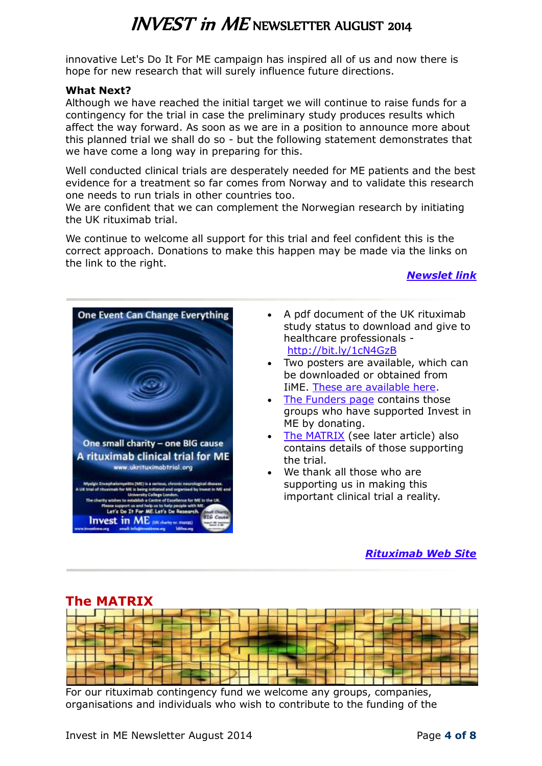innovative Let's Do It For ME campaign has inspired all of us and now there is hope for new research that will surely influence future directions.

#### **What Next?**

Although we have reached the initial target we will continue to raise funds for a contingency for the trial in case the preliminary study produces results which affect the way forward. As soon as we are in a position to announce more about this planned trial we shall do so - but the following statement demonstrates that we have come a long way in preparing for this.

Well conducted clinical trials are desperately needed for ME patients and the best evidence for a treatment so far comes from Norway and to validate this research one needs to run trials in other countries too.

We are confident that we can complement the Norwegian research by initiating the UK rituximab trial.

We continue to welcome all support for this trial and feel confident this is the correct approach. Donations to make this happen may be made via the links on the link to the right.

#### *[Newslet link](http://www.investinme.org/IIME%20UK%20Rituximab%20Trial.htm)*



- A pdf document of the UK rituximab study status to download and give to healthcare professionals <http://bit.ly/1cN4GzB>
- Two posters are available, which can be downloaded or obtained from IiME. [These are available here.](http://www.ukrituximabtrial.org/Rituximab%20news-Sep13%2002.htm)
- [The Funders page](http://www.ukrituximabtrial.org/IIMEUKRT%20Funders.htm) contains those groups who have supported Invest in ME by donating.
- [The MATRIX](http://www.ukrituximabtrial.org/IIMEUKRT%20Matrix.htm) (see later article) also contains details of those supporting the trial.
- We thank all those who are supporting us in making this important clinical trial a reality.

#### *[Rituximab Web Site](http://www.ukrituximabtrial.org/home.htm)*

<span id="page-3-0"></span>

For our rituximab contingency fund we welcome any groups, companies, organisations and individuals who wish to contribute to the funding of the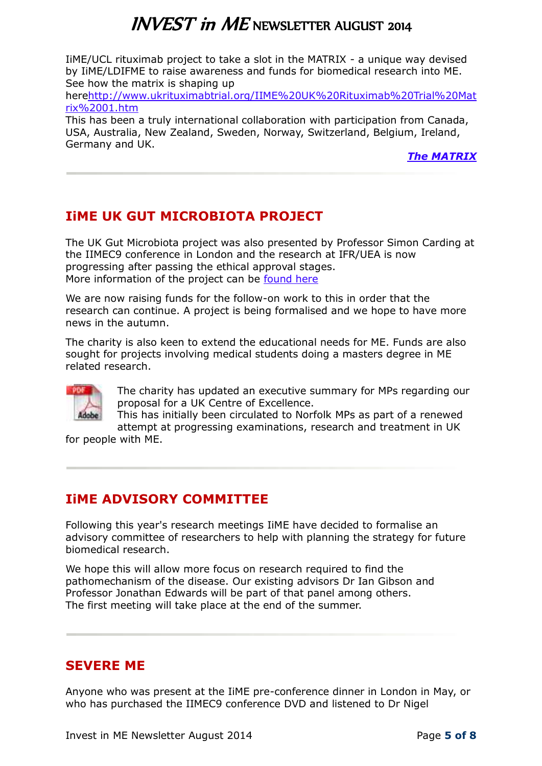IiME/UCL rituximab project to take a slot in the MATRIX - a unique way devised by IiME/LDIFME to raise awareness and funds for biomedical research into ME. See how the matrix is shaping up

her[ehttp://www.ukrituximabtrial.org/IIME%20UK%20Rituximab%20Trial%20Mat](http://www.ukrituximabtrial.org/IIME%20UK%20Rituximab%20Trial%20Matrix%2001.htm) [rix%2001.htm](http://www.ukrituximabtrial.org/IIME%20UK%20Rituximab%20Trial%20Matrix%2001.htm)

This has been a truly international collaboration with participation from Canada, USA, Australia, New Zealand, Sweden, Norway, Switzerland, Belgium, Ireland, Germany and UK.

*[The MATRIX](http://www.ukrituximabtrial.org/IIMEUKRT%20Matrix.htm)*

## <span id="page-4-0"></span>**IiME UK GUT MICROBIOTA PROJECT**

The UK Gut Microbiota project was also presented by Professor Simon Carding at the IIMEC9 conference in London and the research at IFR/UEA is now progressing after passing the ethical approval stages. More information of the project can be [found here](http://www.investinme.org/ResearchCurrentProjects.htm)

We are now raising funds for the follow-on work to this in order that the research can continue. A project is being formalised and we hope to have more news in the autumn.

The charity is also keen to extend the educational needs for ME. Funds are also sought for projects involving medical students doing a masters degree in ME related research.



The charity has updated an executive summary for MPs regarding our proposal for a UK Centre of Excellence.

This has initially been circulated to Norfolk MPs as part of a renewed attempt at progressing examinations, research and treatment in UK

for people with ME.

## <span id="page-4-1"></span>**IiME ADVISORY COMMITTEE**

Following this year's research meetings IiME have decided to formalise an advisory committee of researchers to help with planning the strategy for future biomedical research.

We hope this will allow more focus on research required to find the pathomechanism of the disease. Our existing advisors Dr Ian Gibson and Professor Jonathan Edwards will be part of that panel among others. The first meeting will take place at the end of the summer.

### <span id="page-4-2"></span>**SEVERE ME**

Anyone who was present at the IiME pre-conference dinner in London in May, or who has purchased the IIMEC9 conference DVD and listened to Dr Nigel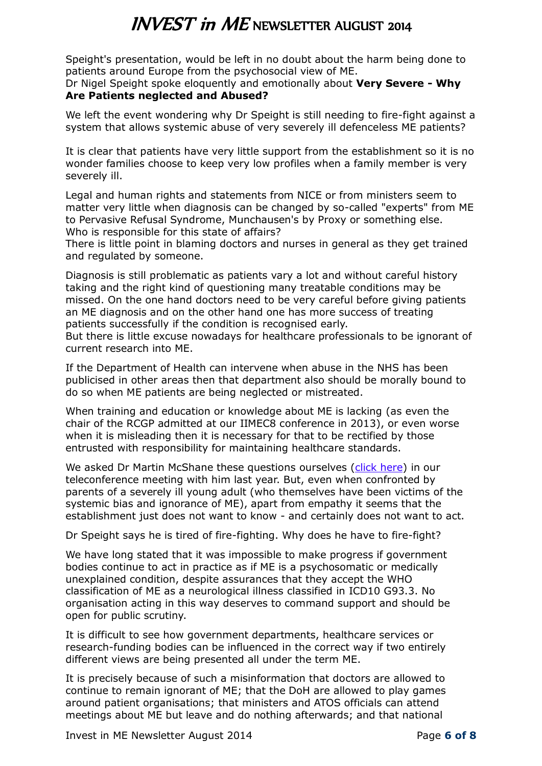Speight's presentation, would be left in no doubt about the harm being done to patients around Europe from the psychosocial view of ME.

#### Dr Nigel Speight spoke eloquently and emotionally about **Very Severe - Why Are Patients neglected and Abused?**

We left the event wondering why Dr Speight is still needing to fire-fight against a system that allows systemic abuse of very severely ill defenceless ME patients?

It is clear that patients have very little support from the establishment so it is no wonder families choose to keep very low profiles when a family member is very severely ill.

Legal and human rights and statements from NICE or from ministers seem to matter very little when diagnosis can be changed by so-called "experts" from ME to Pervasive Refusal Syndrome, Munchausen's by Proxy or something else. Who is responsible for this state of affairs?

There is little point in blaming doctors and nurses in general as they get trained and regulated by someone.

Diagnosis is still problematic as patients vary a lot and without careful history taking and the right kind of questioning many treatable conditions may be missed. On the one hand doctors need to be very careful before giving patients an ME diagnosis and on the other hand one has more success of treating patients successfully if the condition is recognised early.

But there is little excuse nowadays for healthcare professionals to be ignorant of current research into ME.

If the Department of Health can intervene when abuse in the NHS has been publicised in other areas then that department also should be morally bound to do so when ME patients are being neglected or mistreated.

When training and education or knowledge about ME is lacking (as even the chair of the RCGP admitted at our IIMEC8 conference in 2013), or even worse when it is misleading then it is necessary for that to be rectified by those entrusted with responsibility for maintaining healthcare standards.

We asked Dr Martin McShane these questions ourselves [\(click here\)](http://www.investinme.org/IIME-Newslet-1303-04.htm) in our teleconference meeting with him last year. But, even when confronted by parents of a severely ill young adult (who themselves have been victims of the systemic bias and ignorance of ME), apart from empathy it seems that the establishment just does not want to know - and certainly does not want to act.

Dr Speight says he is tired of fire-fighting. Why does he have to fire-fight?

We have long stated that it was impossible to make progress if government bodies continue to act in practice as if ME is a psychosomatic or medically unexplained condition, despite assurances that they accept the WHO classification of ME as a neurological illness classified in ICD10 G93.3. No organisation acting in this way deserves to command support and should be open for public scrutiny.

It is difficult to see how government departments, healthcare services or research-funding bodies can be influenced in the correct way if two entirely different views are being presented all under the term ME.

It is precisely because of such a misinformation that doctors are allowed to continue to remain ignorant of ME; that the DoH are allowed to play games around patient organisations; that ministers and ATOS officials can attend meetings about ME but leave and do nothing afterwards; and that national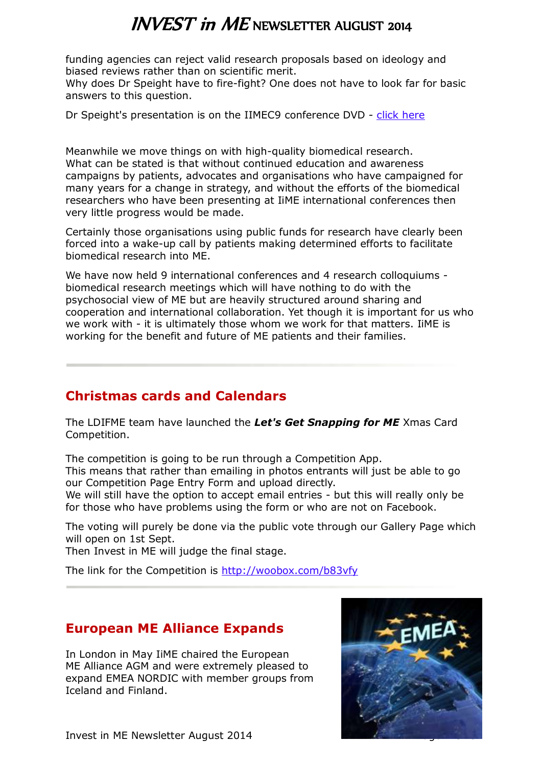<span id="page-6-1"></span>funding agencies can reject valid research proposals based on ideology and biased reviews rather than on scientific merit.

Why does Dr Speight have to fire-fight? One does not have to look far for basic answers to this question.

Dr Speight's presentation is on the IIMEC9 conference DVD - [click here](http://www.investinme.eu/2014%20Conference%20DVD%20Order.html)

Meanwhile we move things on with high-quality biomedical research. What can be stated is that without continued education and awareness campaigns by patients, advocates and organisations who have campaigned for many years for a change in strategy, and without the efforts of the biomedical researchers who have been presenting at IiME international conferences then very little progress would be made.

Certainly those organisations using public funds for research have clearly been forced into a wake-up call by patients making determined efforts to facilitate biomedical research into ME.

We have now held 9 international conferences and 4 research colloquiums biomedical research meetings which will have nothing to do with the psychosocial view of ME but are heavily structured around sharing and cooperation and international collaboration. Yet though it is important for us who we work with - it is ultimately those whom we work for that matters. IiME is working for the benefit and future of ME patients and their families.

### <span id="page-6-0"></span>**Christmas cards and Calendars**

The LDIFME team have launched the *Let's Get Snapping for ME* Xmas Card Competition.

The competition is going to be run through a Competition App.

This means that rather than emailing in photos entrants will just be able to go our Competition Page Entry Form and upload directly.

We will still have the option to accept email entries - but this will really only be for those who have problems using the form or who are not on Facebook.

The voting will purely be done via the public vote through our Gallery Page which will open on 1st Sept.

Then Invest in ME will judge the final stage.

The link for the Competition is <http://woobox.com/b83vfy>

### **European ME Alliance Expands**

In London in May IiME chaired the European ME Alliance AGM and were extremely pleased to expand EMEA NORDIC with member groups from Iceland and Finland.